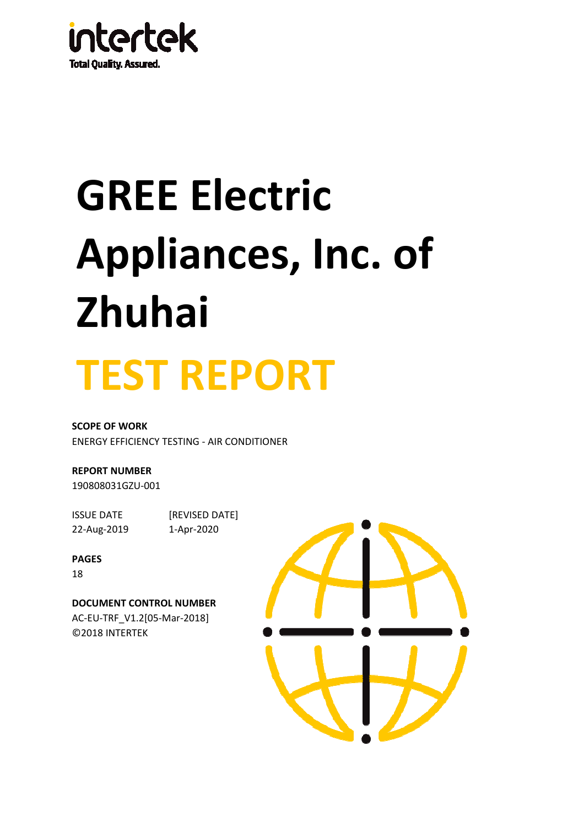

# **GREE Electric Appliances, Inc. of Zhuhai**



**SCOPE OF WORK** ENERGY EFFICIENCY TESTING - AIR CONDITIONER

**REPORT NUMBER**

190808031GZU-001

22-Aug-2019 1-Apr-2020

ISSUE DATE [REVISED DATE]

#### **PAGES**

18

**DOCUMENT CONTROL NUMBER** AC-EU-TRF\_V1.2[05-Mar-2018] ©2018 INTERTEK

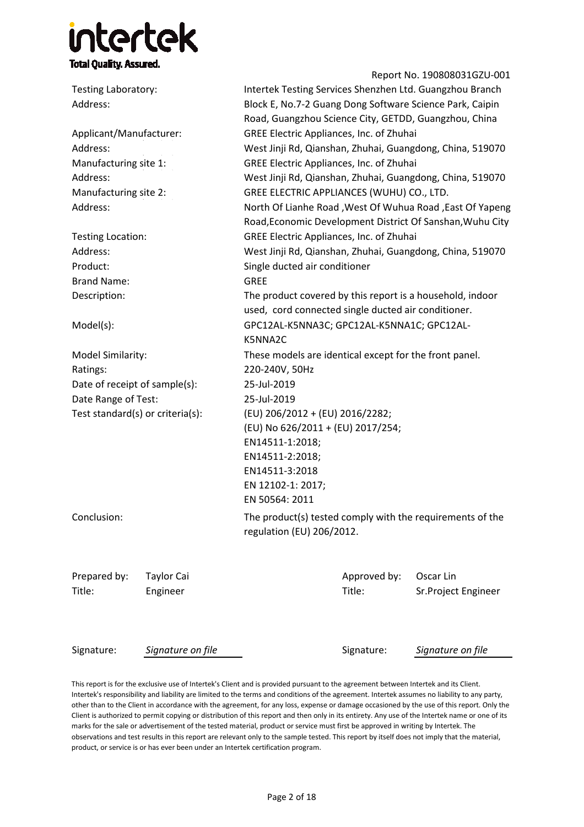### **itertek Total Quality. Assured.**

Report No. 190808031GZU-001 Testing Laboratory: Address: Applicant/Manufacturer: Address: Manufacturing site 1: Address: Manufacturing site 2: Address: Testing Location: Address: Product: Brand Name: Description: Model(s): Model Similarity: Ratings: Date of receipt of sample(s): Date Range of Test: Test standard(s) or criteria(s): Conclusion: Prepared by: Taylor Cai Approved by: Oscar Lin Title: Engineer Title: Sr.Project Engineer Intertek Testing Services Shenzhen Ltd. Guangzhou Branch GREE Electric Appliances, Inc. of Zhuhai GREE Electric Appliances, Inc. of Zhuhai GREE Electric Appliances, Inc. of Zhuhai West Jinji Rd, Qianshan, Zhuhai, Guangdong, China, 519070 220-240V, 50Hz GREE ELECTRIC APPLIANCES (WUHU) CO., LTD. Block E, No.7-2 Guang Dong Software Science Park, Caipin Road, Guangzhou Science City, GETDD, Guangzhou, China West Jinji Rd, Qianshan, Zhuhai, Guangdong, China, 519070 Single ducted air conditioner (EU) 206/2012 + (EU) 2016/2282; (EU) No 626/2011 + (EU) 2017/254; EN14511-1:2018; EN14511-2:2018; EN14511-3:2018 EN 12102-1: 2017; EN 50564: 2011 West Jinji Rd, Qianshan, Zhuhai, Guangdong, China, 519070 North Of Lianhe Road ,West Of Wuhua Road ,East Of Yapeng Road,Economic Development District Of Sanshan,Wuhu City The product(s) tested comply with the requirements of the regulation (EU) 206/2012. 25-Jul-2019 GREE The product covered by this report is a household, indoor used, cord connected single ducted air conditioner. GPC12AL-K5NNA3C; GPC12AL-K5NNA1C; GPC12AL-K5NNA2C These models are identical except for the front panel. 25-Jul-2019

Signature: *Signature on file* Signature on file Signature Signature on file

This report is for the exclusive use of Intertek's Client and is provided pursuant to the agreement between Intertek and its Client. Intertek's responsibility and liability are limited to the terms and conditions of the agreement. Intertek assumes no liability to any party, other than to the Client in accordance with the agreement, for any loss, expense or damage occasioned by the use of this report. Only the Client is authorized to permit copying or distribution of this report and then only in its entirety. Any use of the Intertek name or one of its marks for the sale or advertisement of the tested material, product or service must first be approved in writing by Intertek. The observations and test results in this report are relevant only to the sample tested. This report by itself does not imply that the material, product, or service is or has ever been under an Intertek certification program.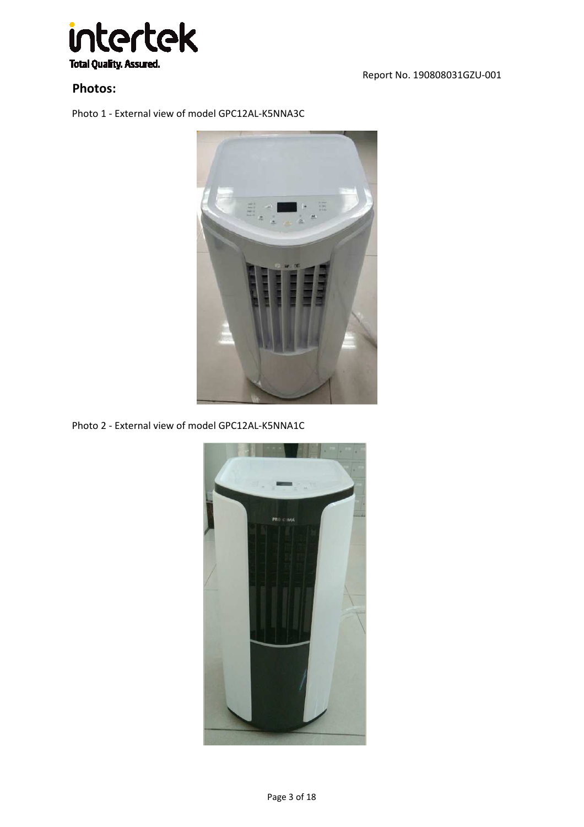

**Photos:**

Report No. 190808031GZU-001

Photo 1 - External view of model GPC12AL-K5NNA3C



Photo 2 - External view of model GPC12AL-K5NNA1C

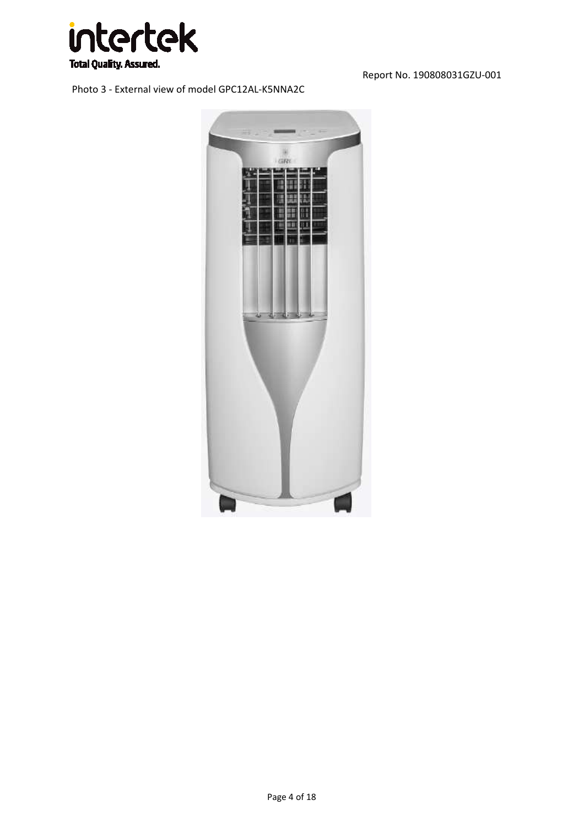

Photo 3 - External view of model GPC12AL-K5NNA2C

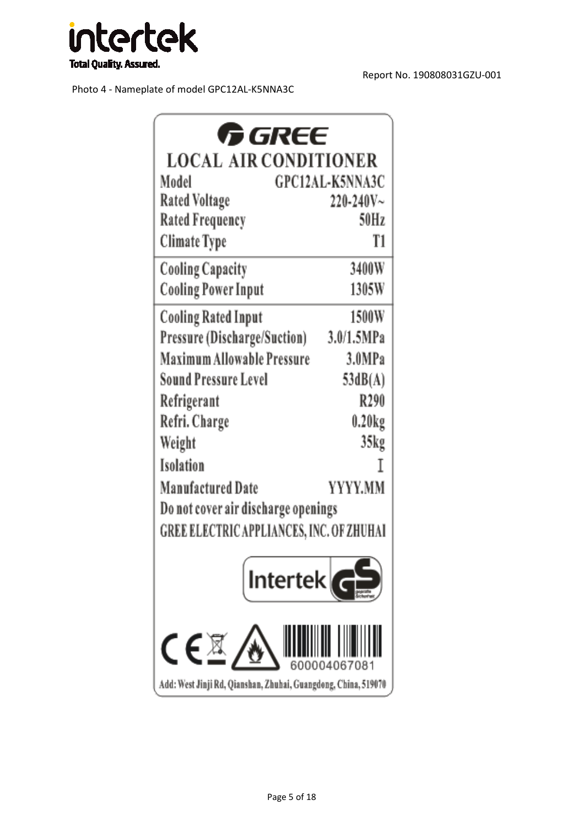

Photo 4 - Nameplate of model GPC12AL-K5NNA3C

| <b>GREE</b>                                                    |                 |
|----------------------------------------------------------------|-----------------|
| <b>LOCAL AIR CONDITIONER</b>                                   |                 |
| Model                                                          | GPC12AL-K5NNA3C |
| <b>Rated Voltage</b>                                           | $220 - 240V -$  |
| <b>Rated Frequency</b>                                         | 50Hz            |
| Climate Type                                                   | T1              |
| <b>Cooling Capacity</b>                                        | 3400W           |
| <b>Cooling Power Input</b>                                     | 1305W           |
| Cooling Rated Input                                            | 1500W           |
| Pressure (Discharge/Suction)                                   | 3.0/1.5MPa      |
| <b>Maximum Allowable Pressure</b>                              | 3.0MPa          |
| Sound Pressure Level                                           | 53dB(A)         |
| Refrigerant                                                    | R290            |
| Refri. Charge                                                  | 0.20kg          |
| Weight                                                         | 35kg            |
| Isolation                                                      | Ι               |
| Manufactured Date                                              | YYYY.MM         |
| Do not cover air discharge openings                            |                 |
| GREE ELECTRIC APPLIANCES, INC. OF ZHUHAI                       |                 |
| Intertek                                                       |                 |
| C€⊠                                                            |                 |
| Add: West Jinji Rd, Qianshan, Zhuhai, Guangdong, China, 519070 |                 |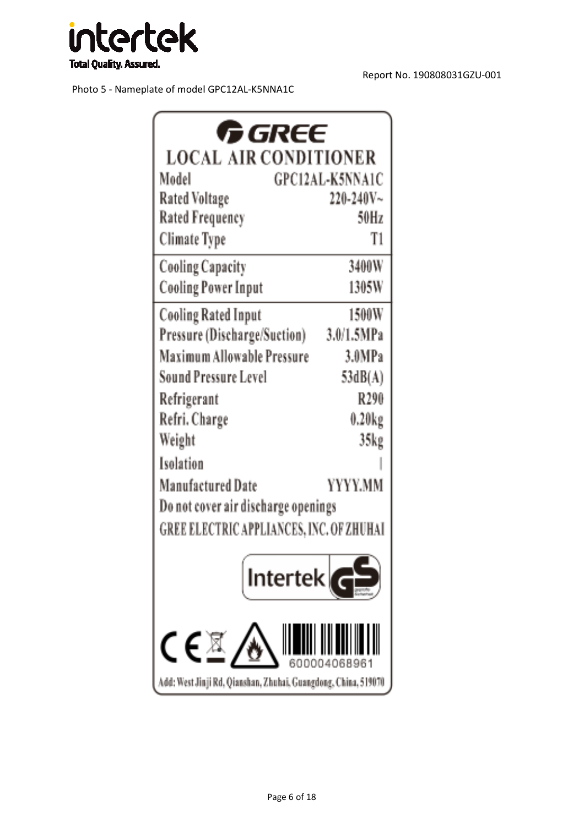

Photo 5 - Nameplate of model GPC12AL-K5NNA1C

| <b>GREE</b>                                          |                  |
|------------------------------------------------------|------------------|
| <b>LOCAL AIR CONDITIONER</b>                         |                  |
| Model                                                | GPC12AL-K5NNA1C  |
| Rated Voltage                                        | $220 - 240V -$   |
| <b>Rated Frequency</b>                               | 50Hz             |
| <b>Climate Type</b>                                  | T1               |
| <b>Cooling Capacity</b>                              | 3400W            |
| <b>Cooling Power Input</b>                           | 1305W            |
| <b>Cooling Rated Input</b>                           | 1500W            |
| Pressure (Discharge/Suction)                         | 3.0/1.5MPa       |
| Maximum Allowable Pressure                           | 3.0MPa           |
| <b>Sound Pressure Level</b>                          | 53dB(A)          |
| Refrigerant                                          | R290             |
| Refri. Charge                                        | $0.20\text{kg}$  |
| Weight                                               | 35 <sub>kg</sub> |
| Isolation                                            |                  |
| Manufactured Date                                    | YYYY.MM          |
| Do not cover air discharge openings                  |                  |
| GREE ELECTRIC APPLIANCES, INC. OF ZHUHAI             |                  |
| tertel                                               |                  |
|                                                      |                  |
| Jinji Rd, Qianshan, Zhuhai, Guangdong, China, 519070 |                  |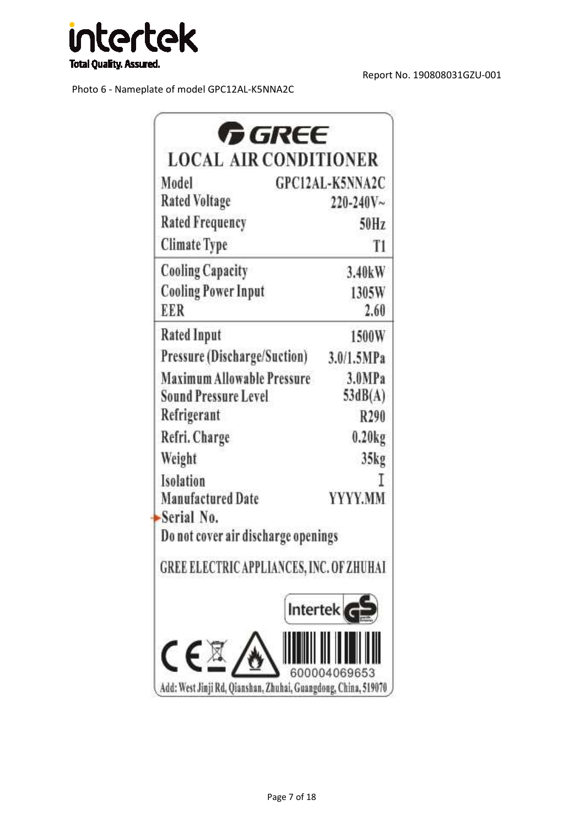

Photo 6 - Nameplate of model GPC12AL-K5NNA2C

| Model                               | <b>GPC12AL-K5NNA2C</b>                   |
|-------------------------------------|------------------------------------------|
| <b>Rated Voltage</b>                | $220 - 240V -$                           |
| <b>Rated Frequency</b>              | 50Hz                                     |
| <b>Climate Type</b>                 | T <sub>1</sub>                           |
| <b>Cooling Capacity</b>             | 3.40kW                                   |
| <b>Cooling Power Input</b>          | 1305W                                    |
| EER                                 | 2.60                                     |
| <b>Rated Input</b>                  | 1500W                                    |
| <b>Pressure (Discharge/Suction)</b> | 3.0/1.5MPa                               |
| <b>Maximum Allowable Pressure</b>   | 3.0MPa                                   |
| <b>Sound Pressure Level</b>         | 53dB(A)                                  |
| Refrigerant                         | R290                                     |
| Refri. Charge                       | 0.20kg                                   |
| Weight                              | 35kg                                     |
| Isolation                           |                                          |
| <b>Manufactured Date</b>            | YYYY.MM                                  |
| Serial No.                          |                                          |
| Do not cover air discharge openings |                                          |
|                                     | GREE ELECTRIC APPLIANCES, INC. OF ZHUHAI |
|                                     | Intertek                                 |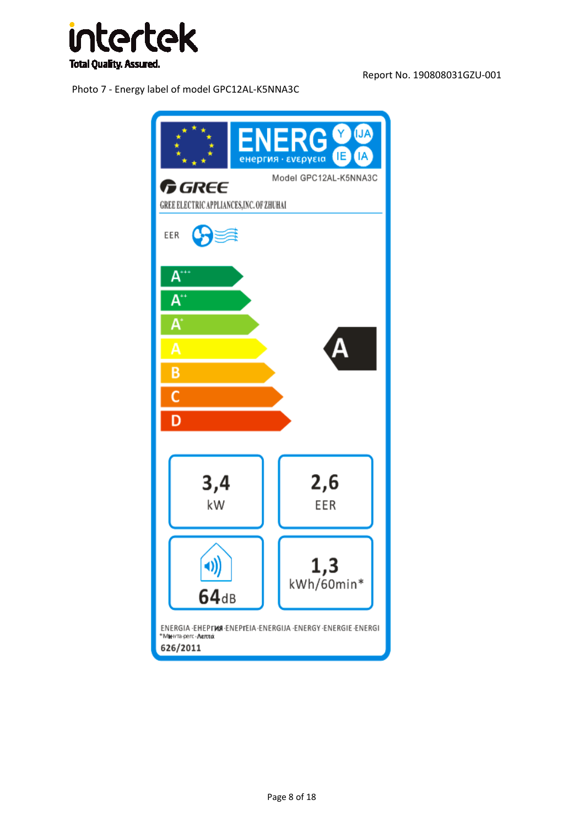

Photo 7 - Energy label of model GPC12AL-K5NNA3C

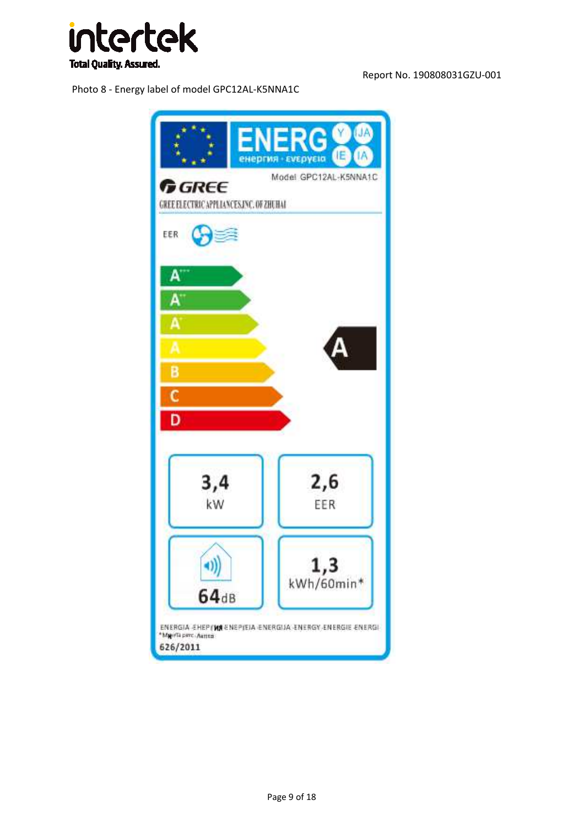

Photo 8 - Energy label of model GPC12AL-K5NNA1C

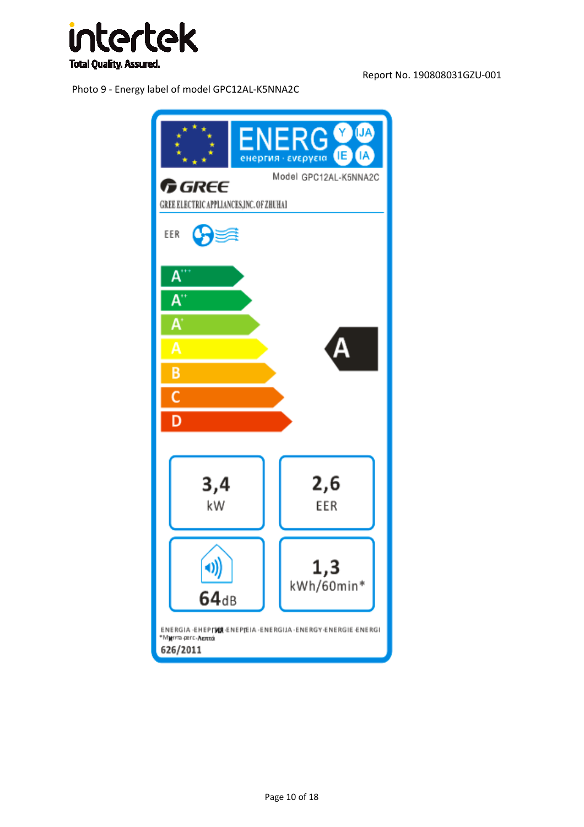

Photo 9 - Energy label of model GPC12AL-K5NNA2C

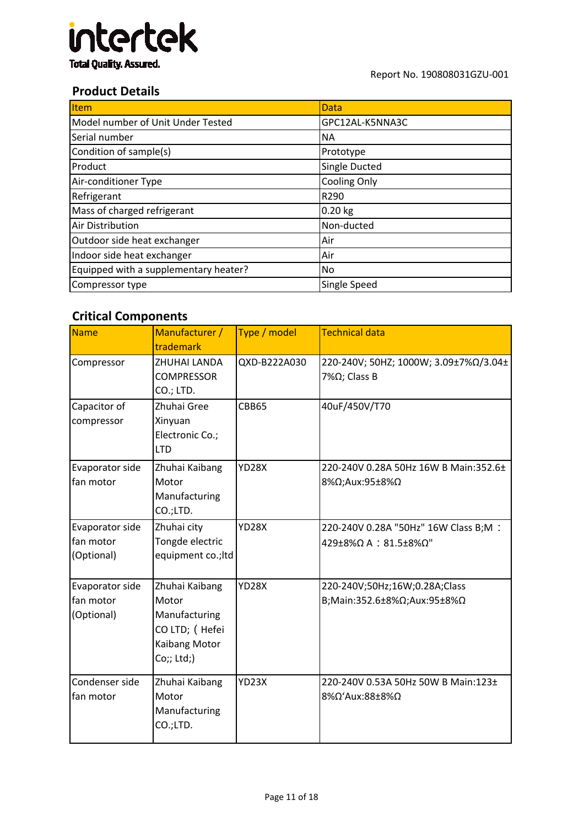

#### **Product Details**

| <b>Item</b>                           | Data                 |
|---------------------------------------|----------------------|
| Model number of Unit Under Tested     | GPC12AL-K5NNA3C      |
| Serial number                         | ΝA                   |
| Condition of sample(s)                | Prototype            |
| Product                               | <b>Single Ducted</b> |
| Air-conditioner Type                  | <b>Cooling Only</b>  |
| Refrigerant                           | R290                 |
| Mass of charged refrigerant           | $0.20$ kg            |
| Air Distribution                      | Non-ducted           |
| Outdoor side heat exchanger           | Air                  |
| Indoor side heat exchanger            | Air                  |
| Equipped with a supplementary heater? | No                   |
| Compressor type                       | Single Speed         |

#### **Critical Components**

| Name                                       | Manufacturer /<br>trademark                                                               | Type / model | <b>Technical data</b>                                                                      |
|--------------------------------------------|-------------------------------------------------------------------------------------------|--------------|--------------------------------------------------------------------------------------------|
| Compressor                                 | ZHUHAI LANDA<br><b>COMPRESSOR</b><br>CO.; LTD.                                            | QXD-B222A030 | 220-240V; 50HZ; 1000W; 3.09±7%Ω/3.04±<br>7%Ω; Class B                                      |
| Capacitor of<br>compressor                 | Zhuhai Gree<br>Xinyuan<br>Electronic Co.;<br><b>LTD</b>                                   | CBB65        | 40uF/450V/T70                                                                              |
| Evaporator side<br>fan motor               | Zhuhai Kaibang<br>Motor<br>Manufacturing<br>CO.;LTD.                                      | <b>YD28X</b> | 220-240V 0.28A 50Hz 16W B Main:352.6±<br>8%Ω;Aux:95±8%Ω                                    |
| Evaporator side<br>fan motor<br>(Optional) | Zhuhai city<br>Tongde electric<br>equipment co.; ltd                                      | <b>YD28X</b> | 220-240V 0.28A "50Hz" 16W Class B;M :<br>$429\pm8\%$ $\Omega$ A : 81.5 $\pm8\%$ $\Omega$ " |
| Evaporator side<br>fan motor<br>(Optional) | Zhuhai Kaibang<br>Motor<br>Manufacturing<br>CO LTD; (Hefei<br>Kaibang Motor<br>Co;; Ltd;) | <b>YD28X</b> | 220-240V;50Hz;16W;0.28A;Class<br>B;Main:352.6±8%Ω;Aux:95±8%Ω                               |
| Condenser side<br>fan motor                | Zhuhai Kaibang<br>Motor<br>Manufacturing<br>CO.;LTD.                                      | YD23X        | 220-240V 0.53A 50Hz 50W B Main:123±<br>8%Ω'Aux:88±8%Ω                                      |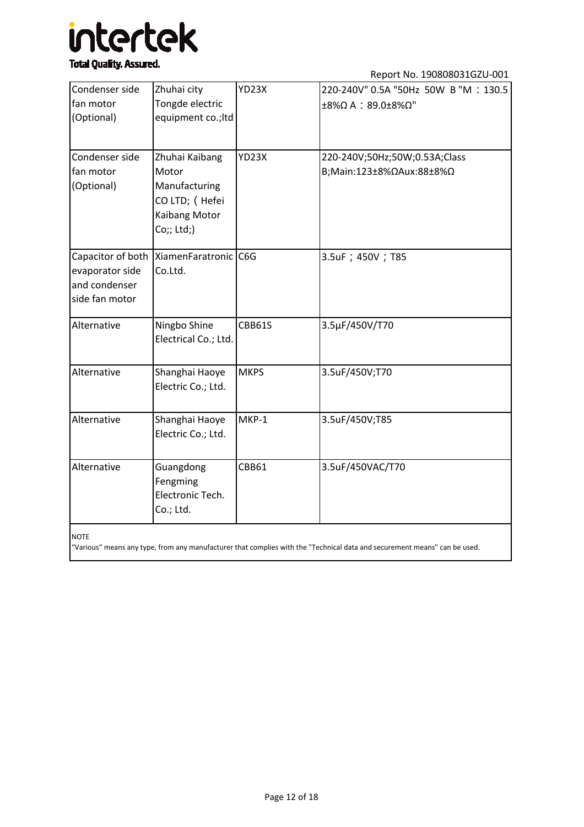## intertek

#### **Total Quality. Assured.**

Report No. 190808031GZU-001

|                   |                      |              | ILENOI LINO. TODOOOOJI ULU-UUT       |
|-------------------|----------------------|--------------|--------------------------------------|
| Condenser side    | Zhuhai city          | YD23X        | 220-240V" 0.5A "50Hz 50W B "M: 130.5 |
| fan motor         | Tongde electric      |              | ±8%Ω A : 89.0±8%Ω"                   |
| (Optional)        | equipment co.; Itd   |              |                                      |
|                   |                      |              |                                      |
| Condenser side    | Zhuhai Kaibang       | YD23X        | 220-240V;50Hz;50W;0.53A;Class        |
| fan motor         | Motor                |              | B;Main:123±8%ΩAux:88±8%Ω             |
| (Optional)        | Manufacturing        |              |                                      |
|                   | CO LTD; (Hefei       |              |                                      |
|                   | Kaibang Motor        |              |                                      |
|                   | Co;; Ltd;)           |              |                                      |
| Capacitor of both | XiamenFaratronic C6G |              | 3.5uF ; 450V ; T85                   |
| evaporator side   | Co.Ltd.              |              |                                      |
| and condenser     |                      |              |                                      |
| side fan motor    |                      |              |                                      |
| Alternative       | Ningbo Shine         | CBB61S       | 3.5µF/450V/T70                       |
|                   | Electrical Co.; Ltd. |              |                                      |
| Alternative       | Shanghai Haoye       | <b>MKPS</b>  | 3.5uF/450V;T70                       |
|                   | Electric Co.; Ltd.   |              |                                      |
|                   |                      |              |                                      |
| Alternative       | Shanghai Haoye       | MKP-1        | 3.5uF/450V;T85                       |
|                   | Electric Co.; Ltd.   |              |                                      |
| Alternative       | Guangdong            | <b>CBB61</b> | 3.5uF/450VAC/T70                     |
|                   | Fengming             |              |                                      |
|                   | Electronic Tech.     |              |                                      |
|                   | Co.; Ltd.            |              |                                      |
| <b>NOTE</b>       |                      |              |                                      |

NOTE

"Various" means any type, from any manufacturer that complies with the "Technical data and securement means" can be used.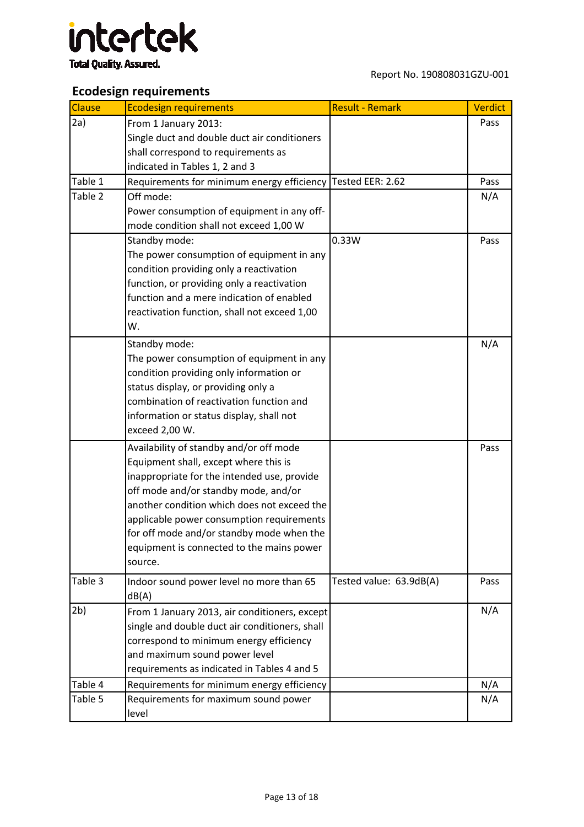

#### **Ecodesign requirements**

| <b>Clause</b>  | <b>Ecodesign requirements</b>                                                                   | <b>Result - Remark</b>  | <b>Verdict</b> |
|----------------|-------------------------------------------------------------------------------------------------|-------------------------|----------------|
| 2a)            | From 1 January 2013:                                                                            |                         | Pass           |
|                | Single duct and double duct air conditioners                                                    |                         |                |
|                | shall correspond to requirements as                                                             |                         |                |
|                | indicated in Tables 1, 2 and 3                                                                  |                         |                |
| Table 1        | Requirements for minimum energy efficiency Tested EER: 2.62                                     |                         | Pass           |
| Table 2        | Off mode:                                                                                       |                         | N/A            |
|                | Power consumption of equipment in any off-                                                      |                         |                |
|                | mode condition shall not exceed 1,00 W                                                          |                         |                |
|                | Standby mode:                                                                                   | 0.33W                   | Pass           |
|                | The power consumption of equipment in any                                                       |                         |                |
|                | condition providing only a reactivation                                                         |                         |                |
|                | function, or providing only a reactivation                                                      |                         |                |
|                | function and a mere indication of enabled                                                       |                         |                |
|                | reactivation function, shall not exceed 1,00                                                    |                         |                |
|                | W.                                                                                              |                         |                |
|                | Standby mode:                                                                                   |                         | N/A            |
|                | The power consumption of equipment in any                                                       |                         |                |
|                | condition providing only information or                                                         |                         |                |
|                | status display, or providing only a                                                             |                         |                |
|                | combination of reactivation function and                                                        |                         |                |
|                | information or status display, shall not                                                        |                         |                |
|                | exceed 2,00 W.                                                                                  |                         |                |
|                | Availability of standby and/or off mode                                                         |                         | Pass           |
|                | Equipment shall, except where this is                                                           |                         |                |
|                | inappropriate for the intended use, provide                                                     |                         |                |
|                | off mode and/or standby mode, and/or<br>another condition which does not exceed the             |                         |                |
|                |                                                                                                 |                         |                |
|                | applicable power consumption requirements<br>for off mode and/or standby mode when the          |                         |                |
|                | equipment is connected to the mains power                                                       |                         |                |
|                | source.                                                                                         |                         |                |
| Table 3        |                                                                                                 |                         | Pass           |
|                | Indoor sound power level no more than 65<br>dB(A)                                               | Tested value: 63.9dB(A) |                |
| 2 <sub>b</sub> |                                                                                                 |                         | N/A            |
|                | From 1 January 2013, air conditioners, except<br>single and double duct air conditioners, shall |                         |                |
|                | correspond to minimum energy efficiency                                                         |                         |                |
|                | and maximum sound power level                                                                   |                         |                |
|                | requirements as indicated in Tables 4 and 5                                                     |                         |                |
| Table 4        | Requirements for minimum energy efficiency                                                      |                         | N/A            |
| Table 5        | Requirements for maximum sound power                                                            |                         | N/A            |
|                | level                                                                                           |                         |                |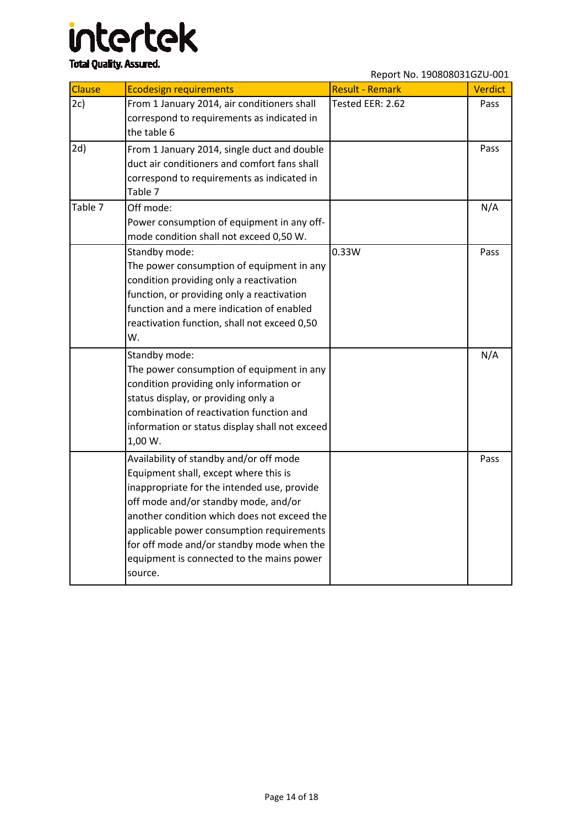## intertek

### **Total Quality. Assured.**

Report No. 190808031GZU-001

| Clause  | <b>Ecodesign requirements</b>                                                                                                                                                                                                                                                                                                                                            | <b>Result - Remark</b> | Verdict |
|---------|--------------------------------------------------------------------------------------------------------------------------------------------------------------------------------------------------------------------------------------------------------------------------------------------------------------------------------------------------------------------------|------------------------|---------|
| 2c)     | From 1 January 2014, air conditioners shall<br>correspond to requirements as indicated in<br>the table 6                                                                                                                                                                                                                                                                 | Tested EER: 2.62       | Pass    |
| 2d)     | From 1 January 2014, single duct and double<br>duct air conditioners and comfort fans shall<br>correspond to requirements as indicated in<br>Table 7                                                                                                                                                                                                                     |                        | Pass    |
| Table 7 | Off mode:<br>Power consumption of equipment in any off-<br>mode condition shall not exceed 0,50 W.                                                                                                                                                                                                                                                                       |                        | N/A     |
|         | Standby mode:<br>The power consumption of equipment in any<br>condition providing only a reactivation<br>function, or providing only a reactivation<br>function and a mere indication of enabled<br>reactivation function, shall not exceed 0,50<br>W.                                                                                                                   | 0.33W                  | Pass    |
|         | Standby mode:<br>The power consumption of equipment in any<br>condition providing only information or<br>status display, or providing only a<br>combination of reactivation function and<br>information or status display shall not exceed<br>1,00 W.                                                                                                                    |                        | N/A     |
|         | Availability of standby and/or off mode<br>Equipment shall, except where this is<br>inappropriate for the intended use, provide<br>off mode and/or standby mode, and/or<br>another condition which does not exceed the<br>applicable power consumption requirements<br>for off mode and/or standby mode when the<br>equipment is connected to the mains power<br>source. |                        | Pass    |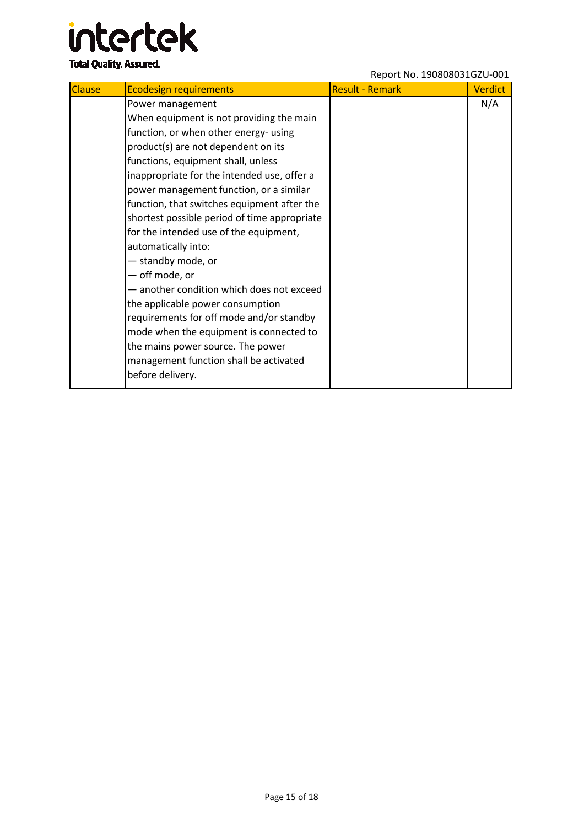### intertek **Total Quality. Assured.**

#### Report No. 190808031GZU-001

| <b>Clause</b> | <b>Ecodesign requirements</b>                | <b>Result - Remark</b> | <b>Verdict</b> |
|---------------|----------------------------------------------|------------------------|----------------|
|               | Power management                             |                        | N/A            |
|               | When equipment is not providing the main     |                        |                |
|               | function, or when other energy- using        |                        |                |
|               | product(s) are not dependent on its          |                        |                |
|               | functions, equipment shall, unless           |                        |                |
|               | inappropriate for the intended use, offer a  |                        |                |
|               | power management function, or a similar      |                        |                |
|               | function, that switches equipment after the  |                        |                |
|               | shortest possible period of time appropriate |                        |                |
|               | for the intended use of the equipment,       |                        |                |
|               | automatically into:                          |                        |                |
|               | - standby mode, or                           |                        |                |
|               | - off mode, or                               |                        |                |
|               | - another condition which does not exceed    |                        |                |
|               | the applicable power consumption             |                        |                |
|               | requirements for off mode and/or standby     |                        |                |
|               | mode when the equipment is connected to      |                        |                |
|               | the mains power source. The power            |                        |                |
|               | management function shall be activated       |                        |                |
|               | before delivery.                             |                        |                |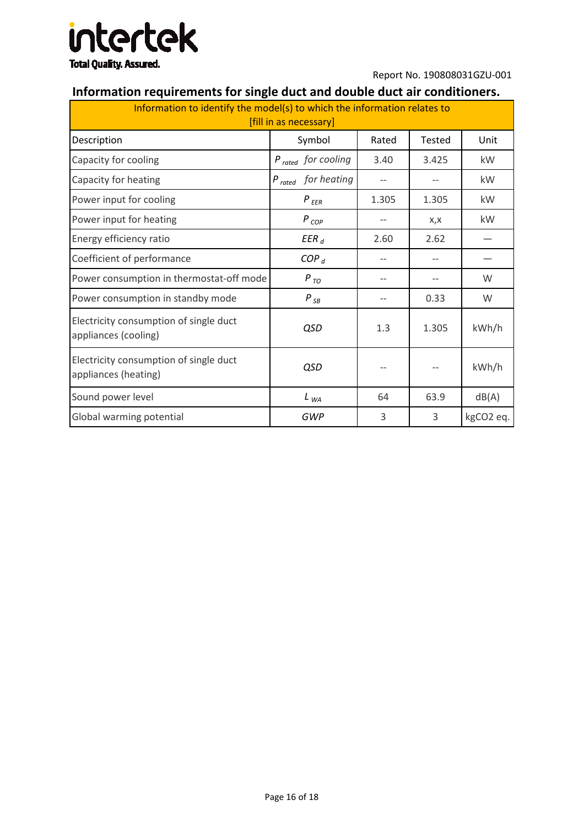

#### **Information requirements for single duct and double duct air conditioners.**

| Information to identify the model(s) to which the information relates to<br>[fill in as necessary] |                         |                   |               |           |
|----------------------------------------------------------------------------------------------------|-------------------------|-------------------|---------------|-----------|
| Description                                                                                        | Symbol                  | Rated             | <b>Tested</b> | Unit      |
| Capacity for cooling                                                                               | $P_{rated}$ for cooling | 3.40              | 3.425         | kW        |
| Capacity for heating                                                                               | $P_{rated}$ for heating | $-$               | $-$           | kW        |
| Power input for cooling                                                                            | $P_{EER}$               | 1.305             | 1.305         | kW        |
| Power input for heating                                                                            | $P_{COP}$               | $\qquad \qquad -$ | X,X           | kW        |
| Energy efficiency ratio                                                                            | $EER_d$                 | 2.60              | 2.62          |           |
| Coefficient of performance                                                                         | COP <sub>d</sub>        | $-$               |               |           |
| Power consumption in thermostat-off mode                                                           | $P_{TO}$                |                   |               | W         |
| Power consumption in standby mode                                                                  | $P_{\,\, SB}$           | $\qquad \qquad -$ | 0.33          | W         |
| Electricity consumption of single duct<br>appliances (cooling)                                     | QSD                     | 1.3               | 1.305         | kWh/h     |
| Electricity consumption of single duct<br>appliances (heating)                                     | QSD                     | $\qquad \qquad -$ |               | kWh/h     |
| Sound power level                                                                                  | $L_{WA}$                | 64                | 63.9          | dB(A)     |
| Global warming potential                                                                           | GWP                     | 3                 | 3             | kgCO2 eq. |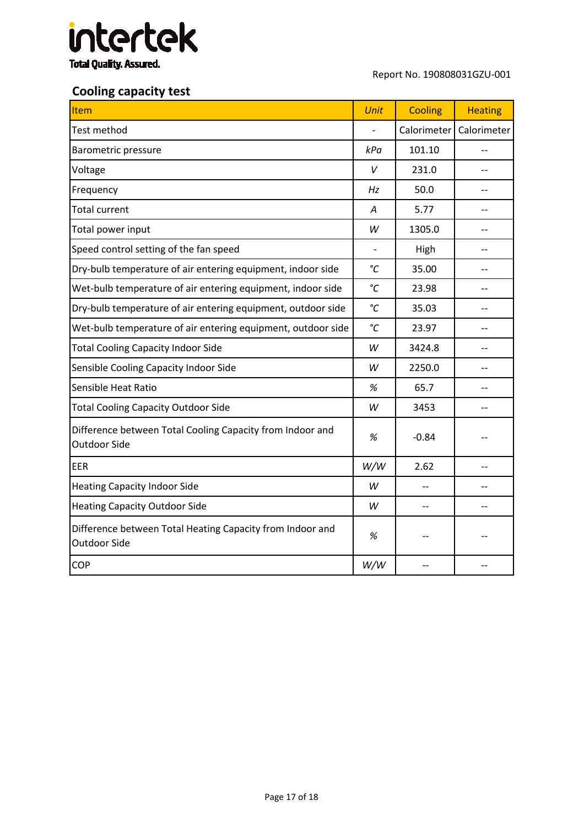

#### **Cooling capacity test**

| <b>Item</b>                                                                      | <b>Unit</b>     | <b>Cooling</b> | <b>Heating</b> |
|----------------------------------------------------------------------------------|-----------------|----------------|----------------|
| Test method                                                                      |                 | Calorimeter    | Calorimeter    |
| <b>Barometric pressure</b>                                                       | kPa             | 101.10         |                |
| Voltage                                                                          | V               | 231.0          |                |
| Frequency                                                                        | Hz              | 50.0           |                |
| <b>Total current</b>                                                             | Α               | 5.77           |                |
| Total power input                                                                | W               | 1305.0         | $-$            |
| Speed control setting of the fan speed                                           |                 | High           |                |
| Dry-bulb temperature of air entering equipment, indoor side                      | $\rm ^{\circ}C$ | 35.00          |                |
| Wet-bulb temperature of air entering equipment, indoor side                      | °C              | 23.98          |                |
| Dry-bulb temperature of air entering equipment, outdoor side                     | °C              | 35.03          |                |
| Wet-bulb temperature of air entering equipment, outdoor side                     | °C              | 23.97          |                |
| <b>Total Cooling Capacity Indoor Side</b>                                        | W               | 3424.8         |                |
| Sensible Cooling Capacity Indoor Side                                            | W               | 2250.0         |                |
| Sensible Heat Ratio                                                              | $\%$            | 65.7           | $-$            |
| <b>Total Cooling Capacity Outdoor Side</b>                                       | W               | 3453           |                |
| Difference between Total Cooling Capacity from Indoor and<br><b>Outdoor Side</b> | %               | $-0.84$        |                |
| <b>EER</b>                                                                       | W/W             | 2.62           |                |
| <b>Heating Capacity Indoor Side</b>                                              | W               |                |                |
| <b>Heating Capacity Outdoor Side</b>                                             | W               | $-$            |                |
| Difference between Total Heating Capacity from Indoor and<br>Outdoor Side        | %               |                |                |
| COP                                                                              | W/W             |                |                |